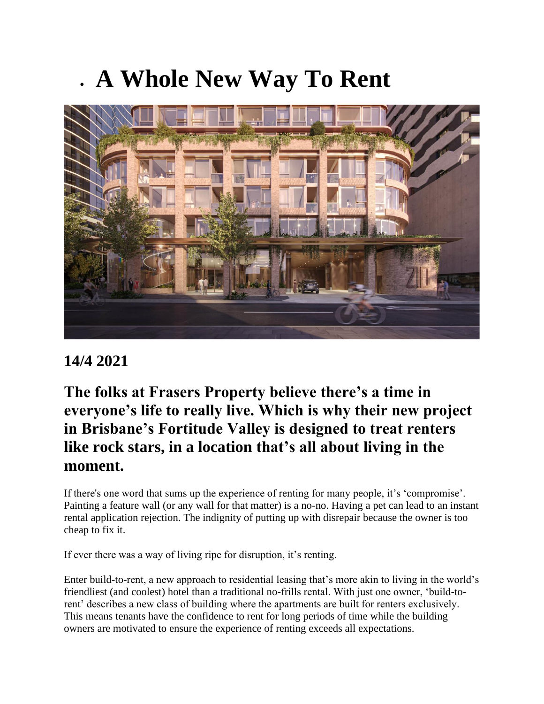## • **A Whole New Way To Rent**



## **14/4 2021**

**The folks at Frasers Property believe there's a time in everyone's life to really live. Which is why their new project in Brisbane's Fortitude Valley is designed to treat renters like rock stars, in a location that's all about living in the moment.**

If there's one word that sums up the experience of renting for many people, it's 'compromise'. Painting a feature wall (or any wall for that matter) is a no-no. Having a pet can lead to an instant rental application rejection. The indignity of putting up with disrepair because the owner is too cheap to fix it.

If ever there was a way of living ripe for disruption, it's renting.

Enter build-to-rent, a new approach to residential leasing that's more akin to living in the world's friendliest (and coolest) hotel than a traditional no-frills rental. With just one owner, 'build-torent' describes a new class of building where the apartments are built for renters exclusively. This means tenants have the confidence to rent for long periods of time while the building owners are motivated to ensure the experience of renting exceeds all expectations.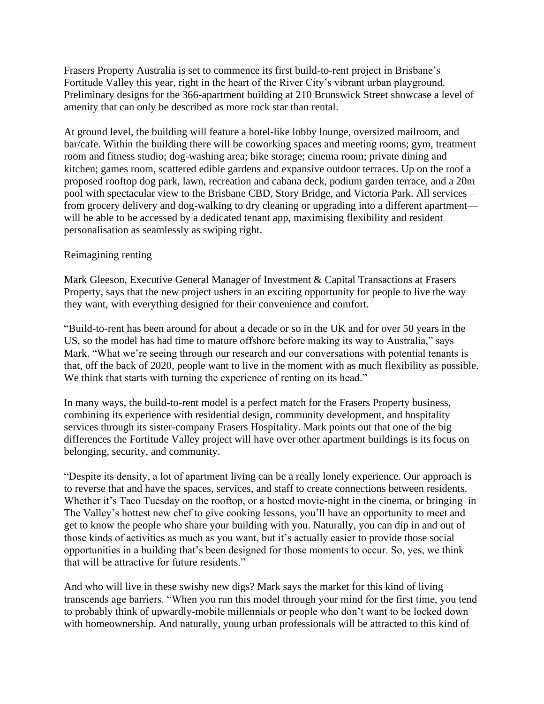Frasers Property Australia is set to commence its first build-to-rent project in Brisbane's Fortitude Valley this year, right in the heart of the River City's vibrant urban playground. Preliminary designs for the 366-apartment building at 210 Brunswick Street showcase a level of amenity that can only be described as more rock star than rental.

At ground level, the building will feature a hotel-like lobby lounge, oversized mailroom, and bar/cafe. Within the building there will be coworking spaces and meeting rooms; gym, treatment room and fitness studio; dog-washing area; bike storage; cinema room; private dining and kitchen; games room, scattered edible gardens and expansive outdoor terraces. Up on the roof a proposed rooftop dog park, lawn, recreation and cabana deck, podium garden terrace, and a 20m pool with spectacular view to the Brisbane CBD, Story Bridge, and Victoria Park. All services from grocery delivery and dog-walking to dry cleaning or upgrading into a different apartment will be able to be accessed by a dedicated tenant app, maximising flexibility and resident personalisation as seamlessly as swiping right.

## Reimagining renting

Mark Gleeson, Executive General Manager of Investment & Capital Transactions at Frasers Property, says that the new project ushers in an exciting opportunity for people to live the way they want, with everything designed for their convenience and comfort.

"Build-to-rent has been around for about a decade or so in the UK and for over 50 years in the US, so the model has had time to mature offshore before making its way to Australia," says Mark. "What we're seeing through our research and our conversations with potential tenants is that, off the back of 2020, people want to live in the moment with as much flexibility as possible. We think that starts with turning the experience of renting on its head."

In many ways, the build-to-rent model is a perfect match for the Frasers Property business, combining its experience with residential design, community development, and hospitality services through its sister-company Frasers Hospitality. Mark points out that one of the big differences the Fortitude Valley project will have over other apartment buildings is its focus on belonging, security, and community.

"Despite its density, a lot of apartment living can be a really lonely experience. Our approach is to reverse that and have the spaces, services, and staff to create connections between residents. Whether it's Taco Tuesday on the rooftop, or a hosted movie-night in the cinema, or bringing in The Valley's hottest new chef to give cooking lessons, you'll have an opportunity to meet and get to know the people who share your building with you. Naturally, you can dip in and out of those kinds of activities as much as you want, but it's actually easier to provide those social opportunities in a building that's been designed for those moments to occur. So, yes, we think that will be attractive for future residents."

And who will live in these swishy new digs? Mark says the market for this kind of living transcends age barriers. "When you run this model through your mind for the first time, you tend to probably think of upwardly-mobile millennials or people who don't want to be locked down with homeownership. And naturally, young urban professionals will be attracted to this kind of